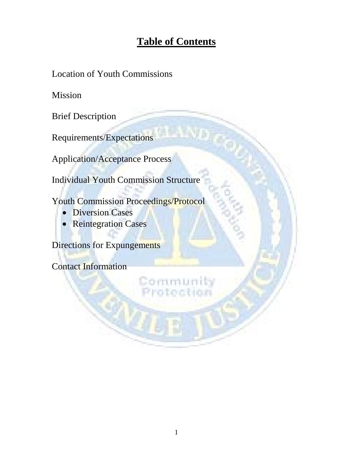# **Table of Contents**

Location of Youth Commissions

Mission

Brief Description

Requirements/Expectations

Application/Acceptance Process

Individual Youth Commission Structure

Youth Commission Proceedings/Protocol

- Diversion Cases
- Reintegration Cases

Directions for Expungements

Contact Information

**CODEL**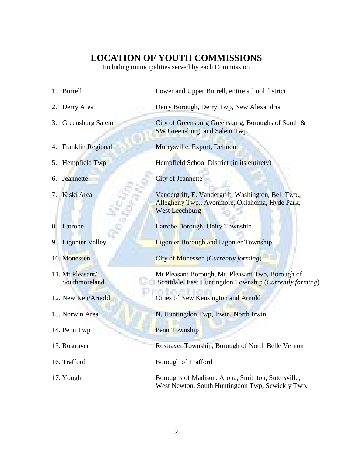### **LOCATION OF YOUTH COMMISSIONS**

Including municipalities served by each Commission

|    | 1. Burrell                        | Lower and Upper Burrell, entire school district                                                                                |
|----|-----------------------------------|--------------------------------------------------------------------------------------------------------------------------------|
| 2. | Derry Area                        | Derry Borough, Derry Twp, New Alexandria                                                                                       |
| 3. | Greensburg Salem                  | City of Greensburg Greensburg, Boroughs of South &<br>SW Greensburg, and Salem Twp.                                            |
|    | 4. Franklin Regional              | Murrysville, Export, Delmont                                                                                                   |
|    | 5. Hempfield Twp.                 | Hempfield School District (in its entirety)                                                                                    |
| 6. | Jeannette                         | <b>City of Jeannette</b>                                                                                                       |
| 7. | Kiski Area                        | Vandergrift, E. Vandergrift, Washington, Bell Twp.,<br>Allegheny Twp., Avonmore, Oklahoma, Hyde Park,<br><b>West Leechburg</b> |
| 8. | Latrobe                           | Latrobe Borough, Unity Township                                                                                                |
|    | 9. Ligonier Valley                | <b>Ligonier Borough and Ligonier Township</b>                                                                                  |
|    | 10. Monessen                      | <b>City of Monessen</b> ( <i>Currently forming</i> )                                                                           |
|    | 11. Mt Pleasant/<br>Southmoreland | Mt Pleasant Borough, Mt. Pleasant Twp, Borough of<br>Scottdale, East Huntingdon Township (Currently forming)                   |
|    | 12. New Ken/Arnold                | Cities of New Kensington and Arnold                                                                                            |
|    | 13. Norwin Area                   | N. Huntingdon Twp, Irwin, North Irwin                                                                                          |
|    | 14. Penn Twp                      | <b>Penn Township</b>                                                                                                           |
|    | 15. Rostraver                     | Rostraver Township, Borough of North Belle Vernon                                                                              |
|    | 16. Trafford                      | <b>Borough of Trafford</b>                                                                                                     |
|    | 17. Yough                         | Boroughs of Madison, Arona, Smithton, Sutersville,<br>West Newton, South Huntingdon Twp, Sewickly Twp.                         |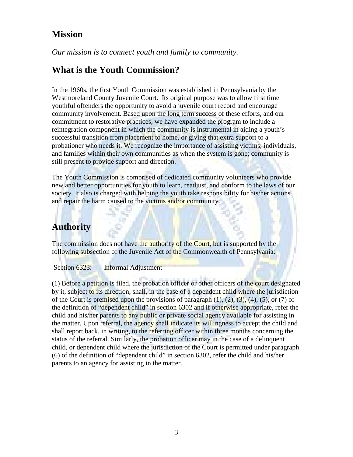### **Mission**

*Our mission is to connect youth and family to community.* 

### **What is the Youth Commission?**

In the 1960s, the first Youth Commission was established in Pennsylvania by the Westmoreland County Juvenile Court. Its original purpose was to allow first time youthful offenders the opportunity to avoid a juvenile court record and encourage community involvement. Based upon the long term success of these efforts, and our commitment to restorative practices, we have expanded the program to include a reintegration component in which the community is instrumental in aiding a youth's successful transition from placement to home, or giving that extra support to a probationer who needs it. We recognize the importance of assisting victims, individuals, and families within their own communities as when the system is gone; community is still present to provide support and direction.

The Youth Commission is comprised of dedicated community volunteers who provide new and better opportunities for youth to learn, readjust, and conform to the laws of our society. It also is charged with helping the youth take responsibility for his/her actions and repair the harm caused to the victims and/or community.

# **Authority**

The commission does not have the authority of the Court, but is supported by the following subsection of the Juvenile Act of the Commonwealth of Pennsylvania:

Section 6323: Informal Adjustment

(1) Before a petition is filed, the probation officer or other officers of the court designated by it, subject to its direction, shall, in the case of a dependent child where the jurisdiction of the Court is premised upon the provisions of paragraph  $(1)$ ,  $(2)$ ,  $(3)$ ,  $(4)$ ,  $(5)$ , or  $(7)$  of the definition of "dependent child" in section 6302 and if otherwise appropriate, refer the child and his/her parents to any public or private social agency available for assisting in the matter. Upon referral, the agency shall indicate its willingness to accept the child and shall report back, in writing, to the referring officer within three months concerning the status of the referral. Similarly, the probation officer may in the case of a delinquent child, or dependent child where the jurisdiction of the Court is permitted under paragraph (6) of the definition of "dependent child" in section 6302, refer the child and his/her parents to an agency for assisting in the matter.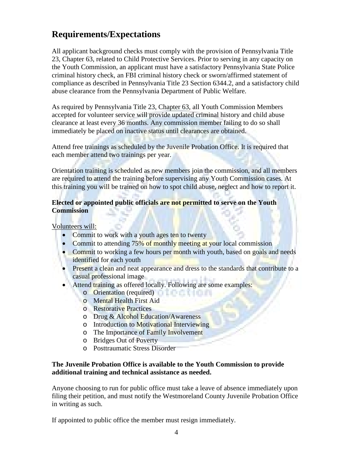# **Requirements/Expectations**

All applicant background checks must comply with the provision of Pennsylvania Title 23, Chapter 63, related to Child Protective Services. Prior to serving in any capacity on the Youth Commission, an applicant must have a satisfactory Pennsylvania State Police criminal history check, an FBI criminal history check or sworn/affirmed statement of compliance as described in Pennsylvania Title 23 Section 6344.2, and a satisfactory child abuse clearance from the Pennsylvania Department of Public Welfare.

As required by Pennsylvania Title 23, Chapter 63, all Youth Commission Members accepted for volunteer service will provide updated criminal history and child abuse clearance at least every 36 months. Any commission member failing to do so shall immediately be placed on inactive status until clearances are obtained.

Attend free trainings as scheduled by the Juvenile Probation Office. It is required that each member attend two trainings per year.

Orientation training is scheduled as new members join the commission, and all members are required to attend the training before supervising any Youth Commission cases. At this training you will be trained on how to spot child abuse, neglect and how to report it.

#### **Elected or appointed public officials are not permitted to serve on the Youth Commission**

Volunteers will:

- Commit to work with a youth ages ten to twenty
- Commit to attending 75% of monthly meeting at your local commission
- Commit to working a few hours per month with youth, based on goals and needs identified for each youth
- Present a clean and neat appearance and dress to the standards that contribute to a casual professional image
- Attend training as offered locally. Following are some examples:
	- o Orientation (required)
	- o Mental Health First Aid
	- o Restorative Practices
	- o Drug & Alcohol Education/Awareness
	- o Introduction to Motivational Interviewing
	- o The Importance of Family Involvement
	- o Bridges Out of Poverty
	- o Posttraumatic Stress Disorder

#### **The Juvenile Probation Office is available to the Youth Commission to provide additional training and technical assistance as needed.**

Anyone choosing to run for public office must take a leave of absence immediately upon filing their petition, and must notify the Westmoreland County Juvenile Probation Office in writing as such.

If appointed to public office the member must resign immediately.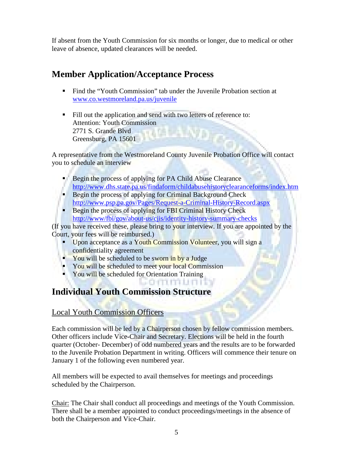If absent from the Youth Commission for six months or longer, due to medical or other leave of absence, updated clearances will be needed.

# **Member Application/Acceptance Process**

- Find the "Youth Commission" tab under the Juvenile Probation section at [www.co.westmoreland.pa.us/juvenile](http://www.co.westmoreland.pa.us/juvenile)
- Fill out the application and send with two letters of reference to: Attention: Youth Commission 2771 S. Grande Blvd Greensburg, PA 15601

A representative from the Westmoreland County Juvenile Probation Office will contact you to schedule an interview

- Begin the process of applying for PA Child Abuse Clearance <http://www.dhs.state.pa.us/findaform/childabusehistoryclearanceforms/index.htm>
- Begin the process of applying for Criminal Background Check <http://www.psp.pa.gov/Pages/Request-a-Criminal-History-Record.aspx>
- Begin the process of applying for FBI Criminal History Check <http://www/fbi/gov/about-us/cjis/identity-history-summary-checks>

(If you have received these, please bring to your interview. If you are appointed by the Court, your fees will be reimbursed.)

sommun

- Upon acceptance as a Youth Commission Volunteer, you will sign a confidentiality agreement
- You will be scheduled to be sworn in by a Judge
- You will be scheduled to meet your local Commission
- **You will be scheduled for Orientation Training**

# **Individual Youth Commission Structure**

#### Local Youth Commission Officers

Each commission will be led by a Chairperson chosen by fellow commission members. Other officers include Vice-Chair and Secretary. Elections will be held in the fourth quarter (October- December) of odd numbered years and the results are to be forwarded to the Juvenile Probation Department in writing. Officers will commence their tenure on January 1 of the following even numbered year.

All members will be expected to avail themselves for meetings and proceedings scheduled by the Chairperson.

Chair: The Chair shall conduct all proceedings and meetings of the Youth Commission. There shall be a member appointed to conduct proceedings/meetings in the absence of both the Chairperson and Vice-Chair.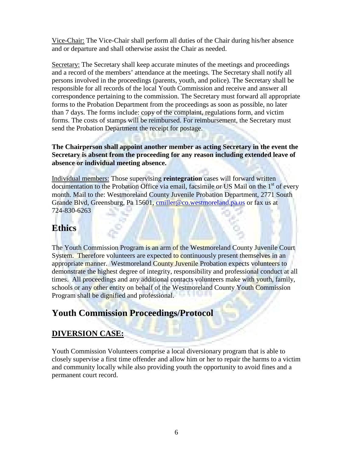Vice-Chair: The Vice-Chair shall perform all duties of the Chair during his/her absence and or departure and shall otherwise assist the Chair as needed.

Secretary: The Secretary shall keep accurate minutes of the meetings and proceedings and a record of the members' attendance at the meetings. The Secretary shall notify all persons involved in the proceedings (parents, youth, and police). The Secretary shall be responsible for all records of the local Youth Commission and receive and answer all correspondence pertaining to the commission. The Secretary must forward all appropriate forms to the Probation Department from the proceedings as soon as possible, no later than 7 days. The forms include: copy of the complaint, regulations form, and victim forms. The costs of stamps will be reimbursed. For reimbursement, the Secretary must send the Probation Department the receipt for postage.

**The Chairperson shall appoint another member as acting Secretary in the event the Secretary is absent from the proceeding for any reason including extended leave of absence or individual meeting absence.** 

Individual members: Those supervising **reintegration** cases will forward written documentation to the Probation Office via email, facsimile or US Mail on the  $1<sup>st</sup>$  of every month. Mail to the: Westmoreland County Juvenile Probation Department, 2771 South Grande Blvd, Greensburg, Pa 15601, [cmiller@co.westmoreland.pa.us](mailto:cmiller@co.westmoreland.pa.us) or fax us at 724-830-6263

### **Ethics**

The Youth Commission Program is an arm of the Westmoreland County Juvenile Court System. Therefore volunteers are expected to continuously present themselves in an appropriate manner. Westmoreland County Juvenile Probation expects volunteers to demonstrate the highest degree of integrity, responsibility and professional conduct at all times. All proceedings and any additional contacts volunteers make with youth, family, schools or any other entity on behalf of the Westmoreland County Youth Commission Program shall be dignified and professional.

# **Youth Commission Proceedings/Protocol**

### **DIVERSION CASE:**

Youth Commission Volunteers comprise a local diversionary program that is able to closely supervise a first time offender and allow him or her to repair the harms to a victim and community locally while also providing youth the opportunity to avoid fines and a permanent court record.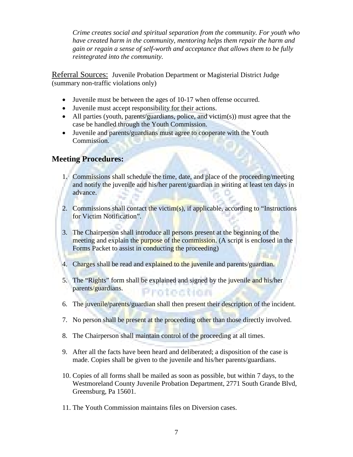*Crime creates social and spiritual separation from the community. For youth who have created harm in the community, mentoring helps them repair the harm and gain or regain a sense of self-worth and acceptance that allows them to be fully reintegrated into the community.*

Referral Sources: Juvenile Probation Department or Magisterial District Judge (summary non-traffic violations only)

- Juvenile must be between the ages of 10-17 when offense occurred.
- Juvenile must accept responsibility for their actions.
- All parties (youth, parents/guardians, police, and victim(s)) must agree that the case be handled through the Youth Commission.
- Juvenile and parents/guardians must agree to cooperate with the Youth Commission.

#### **Meeting Procedures:**

- 1. Commissions shall schedule the time, date, and place of the proceeding/meeting and notify the juvenile and his/her parent/guardian in writing at least ten days in advance.
- 2. Commissions shall contact the victim(s), if applicable, according to "Instructions" for Victim Notification".
- 3. The Chairperson shall introduce all persons present at the beginning of the meeting and explain the purpose of the commission. (A script is enclosed in the Forms Packet to assist in conducting the proceeding)
- 4. Charges shall be read and explained to the juvenile and parents/guardian.
- 5. The "Rights" form shall be explained and signed by the juvenile and his/her parents/guardians. Protoction
- 6. The juvenile/parents/guardian shall then present their description of the incident.
- 7. No person shall be present at the proceeding other than those directly involved.
- 8. The Chairperson shall maintain control of the proceeding at all times.
- 9. After all the facts have been heard and deliberated; a disposition of the case is made. Copies shall be given to the juvenile and his/her parents/guardians.
- 10. Copies of all forms shall be mailed as soon as possible, but within 7 days, to the Westmoreland County Juvenile Probation Department, 2771 South Grande Blvd, Greensburg, Pa 15601.
- 11. The Youth Commission maintains files on Diversion cases.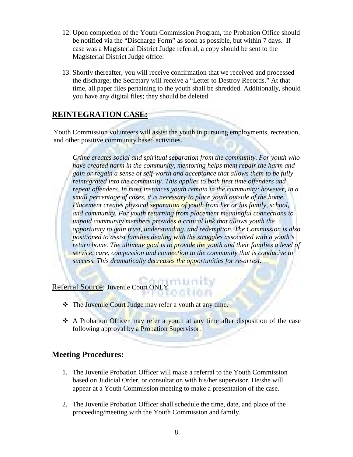- 12. Upon completion of the Youth Commission Program, the Probation Office should be notified via the "Discharge Form" as soon as possible, but within 7 days. If case was a Magisterial District Judge referral, a copy should be sent to the Magisterial District Judge office.
- 13. Shortly thereafter, you will receive confirmation that we received and processed the discharge; the Secretary will receive a "Letter to Destroy Records." At that time, all paper files pertaining to the youth shall be shredded. Additionally, should you have any digital files; they should be deleted.

#### **REINTEGRATION CASE:**

Youth Commission volunteers will assist the youth in pursuing employments, recreation, and other positive community based activities.

*Crime creates social and spiritual separation from the community. For youth who have created harm in the community, mentoring helps them repair the harm and gain or regain a sense of self-worth and acceptance that allows them to be fully reintegrated into the community. This applies to both first time offenders and repeat offenders. In most instances youth remain in the community; however, in a small percentage of cases, it is necessary to place youth outside of the home. Placement creates physical separation of youth from her or his family, school, and community. For youth returning from placement meaningful connections to unpaid community members provides a critical link that allows youth the opportunity to gain trust, understanding, and redemption. The Commission is also positioned to assist families dealing with the struggles associated with a youth's return home. The ultimate goal is to provide the youth and their families a level of service, care, compassion and connection to the community that is conducive to success. This dramatically decreases the opportunities for re-arrest.* 

Referral Source: Juvenile Court ONLY

- The Juvenile Court Judge may refer a youth at any time.
- A Probation Officer may refer a youth at any time after disposition of the case following approval by a Probation Supervisor.

#### **Meeting Procedures:**

- 1. The Juvenile Probation Officer will make a referral to the Youth Commission based on Judicial Order, or consultation with his/her supervisor. He/she will appear at a Youth Commission meeting to make a presentation of the case.
- 2. The Juvenile Probation Officer shall schedule the time, date, and place of the proceeding/meeting with the Youth Commission and family.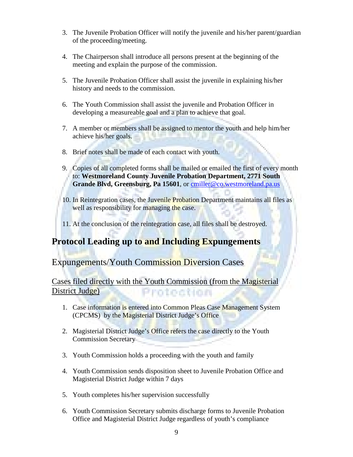- 3. The Juvenile Probation Officer will notify the juvenile and his/her parent/guardian of the proceeding/meeting.
- 4. The Chairperson shall introduce all persons present at the beginning of the meeting and explain the purpose of the commission.
- 5. The Juvenile Probation Officer shall assist the juvenile in explaining his/her history and needs to the commission.
- 6. The Youth Commission shall assist the juvenile and Probation Officer in developing a measureable goal and a plan to achieve that goal.
- 7. A member or members shall be assigned to mentor the youth and help him/her achieve his/her goals.
- 8. Brief notes shall be made of each contact with youth.
- 9. Copies of all completed forms shall be mailed or emailed the first of every month to: **Westmoreland County Juvenile Probation Department, 2771 South Grande Blvd, Greensburg, Pa 15601**, or [cmiller@co.westmoreland.pa.us](mailto:cmiller@co.westmoreland.pa.us)
- 10. In Reintegration cases, the Juvenile Probation Department maintains all files as well as responsibility for managing the case.
- 11. At the conclusion of the reintegration case, all files shall be destroyed.

# **Protocol Leading up to and Including Expungements**

### Expungements/Youth Commission Diversion Cases

Cases filed directly with the Youth Commission (from the Magisterial District Judge) Protoction

- 1. Case information is entered into Common Pleas Case Management System (CPCMS) by the Magisterial District Judge's Office
- 2. Magisterial District Judge's Office refers the case directly to the Youth Commission Secretary
- 3. Youth Commission holds a proceeding with the youth and family
- 4. Youth Commission sends disposition sheet to Juvenile Probation Office and Magisterial District Judge within 7 days
- 5. Youth completes his/her supervision successfully
- 6. Youth Commission Secretary submits discharge forms to Juvenile Probation Office and Magisterial District Judge regardless of youth's compliance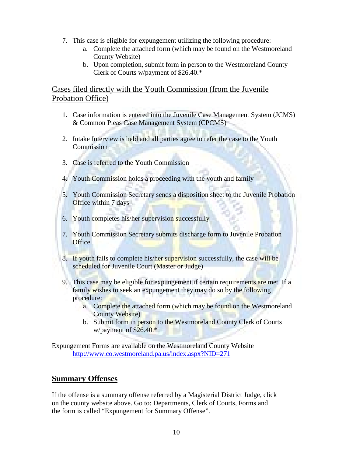- 7. This case is eligible for expungement utilizing the following procedure:
	- a. Complete the attached form (which may be found on the Westmoreland County Website)
	- b. Upon completion, submit form in person to the Westmoreland County Clerk of Courts w/payment of \$26.40.\*

#### Cases filed directly with the Youth Commission (from the Juvenile Probation Office)

- 1. Case information is entered into the Juvenile Case Management System (JCMS) & Common Pleas Case Management System (CPCMS)
- 2. Intake Interview is held and all parties agree to refer the case to the Youth **Commission**
- 3. Case is referred to the Youth Commission
- 4. Youth Commission holds a proceeding with the youth and family
- 5. Youth Commission Secretary sends a disposition sheet to the Juvenile Probation Office within 7 days
- 6. Youth completes his/her supervision successfully
- 7. Youth Commission Secretary submits discharge form to Juvenile Probation **Office**
- 8. If youth fails to complete his/her supervision successfully, the case will be scheduled for Juvenile Court (Master or Judge)
- 9. This case may be eligible for expungement if certain requirements are met. If a family wishes to seek an expungement they may do so by the following procedure:
	- a. Complete the attached form (which may be found on the Westmoreland County Website)
	- b. Submit form in person to the Westmoreland County Clerk of Courts w/payment of \$26.40.\*

Expungement Forms are available on the Westmoreland County Website <http://www.co.westmoreland.pa.us/index.aspx?NID=271>

### **Summary Offenses**

If the offense is a summary offense referred by a Magisterial District Judge, click on the county website above. Go to: Departments, Clerk of Courts, Forms and the form is called "Expungement for Summary Offense".